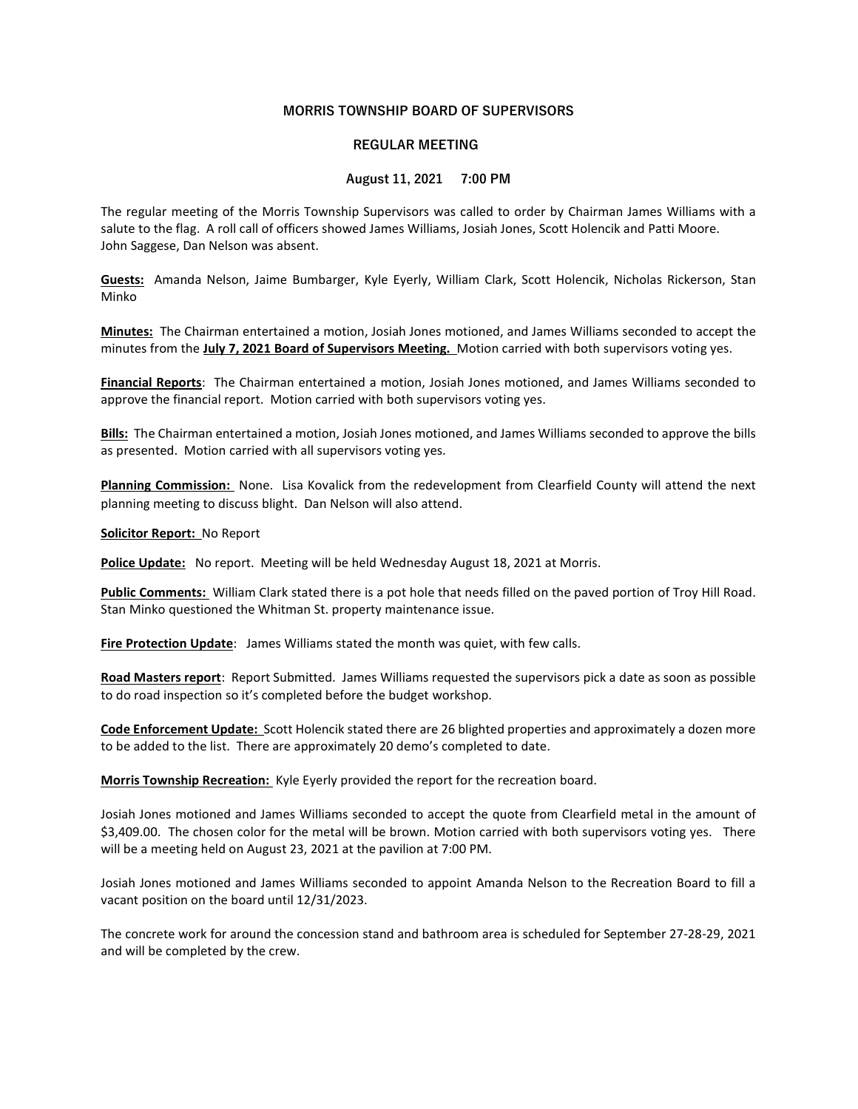## MORRIS TOWNSHIP BOARD OF SUPERVISORS

## REGULAR MEETING

## August 11, 2021 7:00 PM

The regular meeting of the Morris Township Supervisors was called to order by Chairman James Williams with a salute to the flag. A roll call of officers showed James Williams, Josiah Jones, Scott Holencik and Patti Moore. John Saggese, Dan Nelson was absent.

Guests: Amanda Nelson, Jaime Bumbarger, Kyle Eyerly, William Clark, Scott Holencik, Nicholas Rickerson, Stan Minko

Minutes: The Chairman entertained a motion, Josiah Jones motioned, and James Williams seconded to accept the minutes from the July 7, 2021 Board of Supervisors Meeting. Motion carried with both supervisors voting yes.

Financial Reports: The Chairman entertained a motion, Josiah Jones motioned, and James Williams seconded to approve the financial report. Motion carried with both supervisors voting yes.

Bills: The Chairman entertained a motion, Josiah Jones motioned, and James Williams seconded to approve the bills as presented. Motion carried with all supervisors voting yes.

Planning Commission: None. Lisa Kovalick from the redevelopment from Clearfield County will attend the next planning meeting to discuss blight. Dan Nelson will also attend.

Solicitor Report: No Report

Police Update: No report. Meeting will be held Wednesday August 18, 2021 at Morris.

Public Comments: William Clark stated there is a pot hole that needs filled on the paved portion of Troy Hill Road. Stan Minko questioned the Whitman St. property maintenance issue.

Fire Protection Update: James Williams stated the month was quiet, with few calls.

Road Masters report: Report Submitted. James Williams requested the supervisors pick a date as soon as possible to do road inspection so it's completed before the budget workshop.

Code Enforcement Update: Scott Holencik stated there are 26 blighted properties and approximately a dozen more to be added to the list. There are approximately 20 demo's completed to date.

Morris Township Recreation: Kyle Eyerly provided the report for the recreation board.

Josiah Jones motioned and James Williams seconded to accept the quote from Clearfield metal in the amount of \$3,409.00. The chosen color for the metal will be brown. Motion carried with both supervisors voting yes. There will be a meeting held on August 23, 2021 at the pavilion at 7:00 PM.

Josiah Jones motioned and James Williams seconded to appoint Amanda Nelson to the Recreation Board to fill a vacant position on the board until 12/31/2023.

The concrete work for around the concession stand and bathroom area is scheduled for September 27-28-29, 2021 and will be completed by the crew.